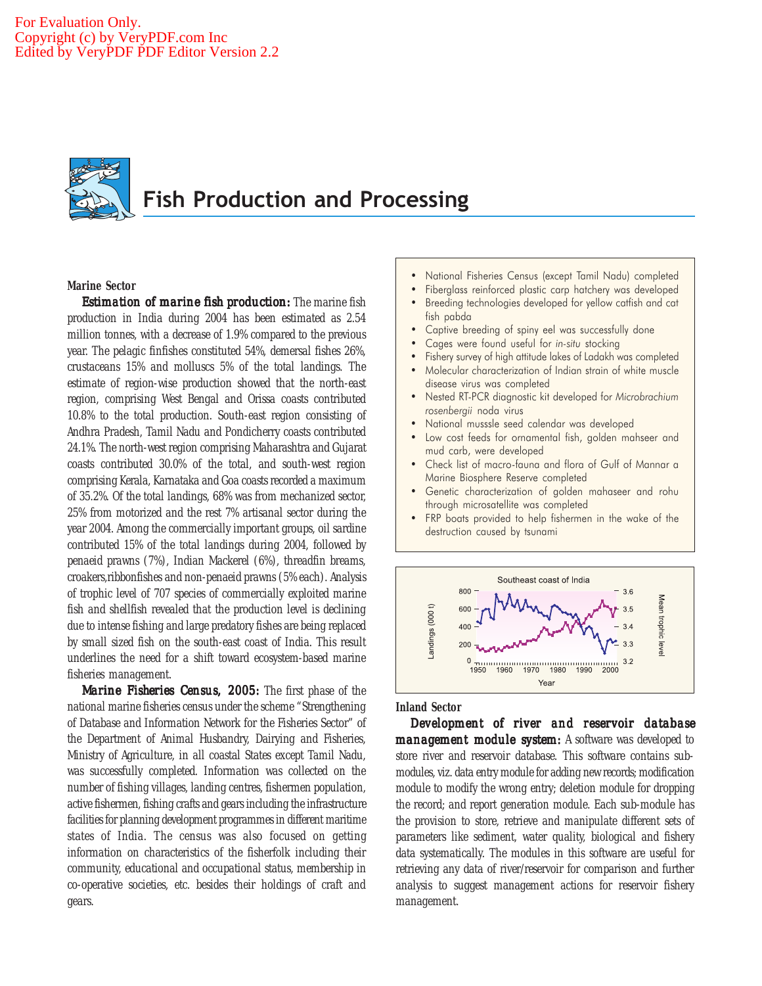

# Fish Production and Processing

## **Marine Sector**

*Estimation of marine fish production:* The marine fish production in India during 2004 has been estimated as 2.54 million tonnes, with a decrease of 1.9% compared to the previous year. The pelagic finfishes constituted 54%, demersal fishes 26%, crustaceans 15% and molluscs 5% of the total landings. The estimate of region-wise production showed that the north-east region, comprising West Bengal and Orissa coasts contributed 10.8% to the total production. South-east region consisting of Andhra Pradesh, Tamil Nadu and Pondicherry coasts contributed 24.1%. The north-west region comprising Maharashtra and Gujarat coasts contributed 30.0% of the total, and south-west region comprising Kerala, Karnataka and Goa coasts recorded a maximum of 35.2%. Of the total landings, 68% was from mechanized sector, 25% from motorized and the rest 7% artisanal sector during the year 2004. Among the commercially important groups, oil sardine contributed 15% of the total landings during 2004, followed by penaeid prawns (7%), Indian Mackerel (6%), threadfin breams, croakers,ribbonfishes and non-penaeid prawns (5% each). Analysis of trophic level of 707 species of commercially exploited marine fish and shellfish revealed that the production level is declining due to intense fishing and large predatory fishes are being replaced by small sized fish on the south-east coast of India. This result underlines the need for a shift toward ecosystem-based marine fisheries management.

*Marine Fisheries Census, 2005: Marine Fisheries Census, 2005:* The first phase of the national marine fisheries census under the scheme "Strengthening of Database and Information Network for the Fisheries Sector" of the Department of Animal Husbandry, Dairying and Fisheries, Ministry of Agriculture, in all coastal States except Tamil Nadu, was successfully completed. Information was collected on the number of fishing villages, landing centres, fishermen population, active fishermen, fishing crafts and gears including the infrastructure facilities for planning development programmes in different maritime states of India. The census was also focused on getting information on characteristics of the fisherfolk including their community, educational and occupational status, membership in co-operative societies, etc. besides their holdings of craft and gears.

- National Fisheries Census (except Tamil Nadu) completed
- Fiberglass reinforced plastic carp hatchery was developed
- Breeding technologies developed for yellow catfish and cat fish pabda
- Captive breeding of spiny eel was successfully done
- Cages were found useful for in-situ stocking
- Fishery survey of high attitude lakes of Ladakh was completed
- Molecular characterization of Indian strain of white muscle disease virus was completed
- Nested RT-PCR diagnostic kit developed for Microbrachium rosenbergii noda virus
- National musssle seed calendar was developed
- Low cost feeds for ornamental fish, golden mahseer and mud carb, were developed
- Check list of macro-fauna and flora of Gulf of Mannar a Marine Biosphere Reserve completed
- Genetic characterization of golden mahaseer and rohu through microsatellite was completed
- FRP boats provided to help fishermen in the wake of the destruction caused by tsunami



## **Inland Sector**

*Development of river and reservoir database of reservoir management module system:* A software was developed to store river and reservoir database. This software contains submodules, viz. data entry module for adding new records; modification module to modify the wrong entry; deletion module for dropping the record; and report generation module. Each sub-module has the provision to store, retrieve and manipulate different sets of parameters like sediment, water quality, biological and fishery data systematically. The modules in this software are useful for retrieving any data of river/reservoir for comparison and further analysis to suggest management actions for reservoir fishery management.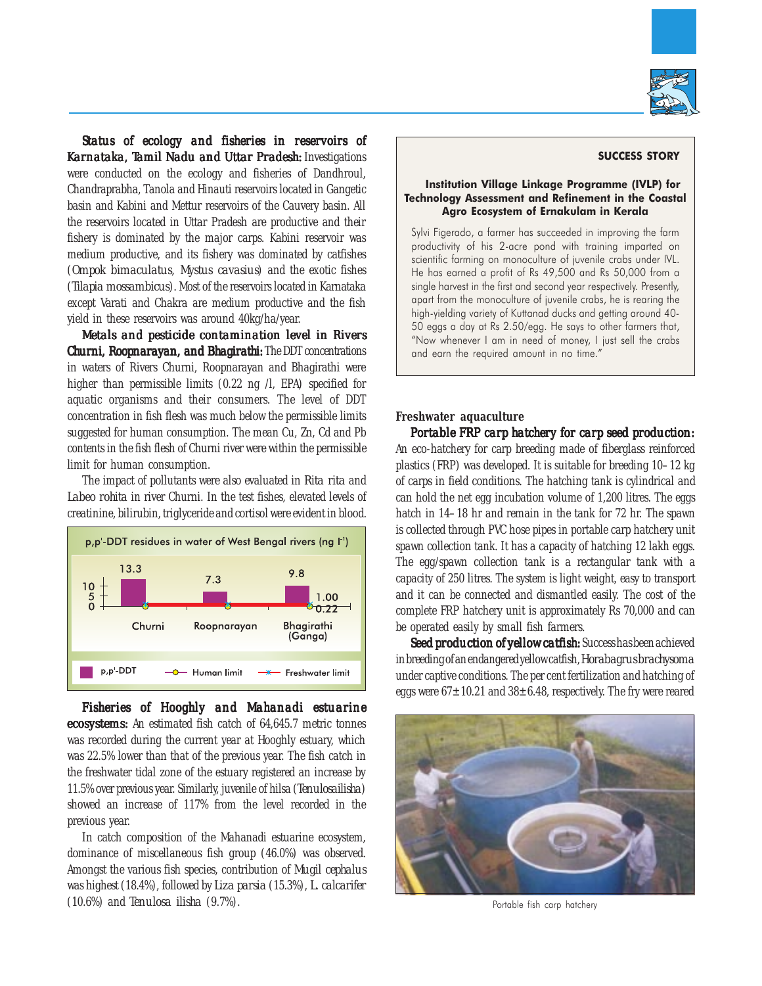

*Status of ecology and fisheries in reservoirs of Status of ecology and fisheries reservoirs of* **Karnataka, Tamil Nadu and Uttar Pradesh: Investigations** were conducted on the ecology and fisheries of Dandhroul, Chandraprabha, Tanola and Hinauti reservoirs located in Gangetic basin and Kabini and Mettur reservoirs of the Cauvery basin. All the reservoirs located in Uttar Pradesh are productive and their fishery is dominated by the major carps. Kabini reservoir was medium productive, and its fishery was dominated by catfishes (*Ompok bimaculatus, Mystus cavasius*) and the exotic fishes (*Tilapia mossambicus*). Most of the reservoirs located in Karnataka except Varati and Chakra are medium productive and the fish yield in these reservoirs was around 40kg/ha/year.

*Metals and pesticide contamination level in Rivers Churni, Roopnarayan, and Bhagirathi: The DDT concentrations* in waters of Rivers Churni, Roopnarayan and Bhagirathi were higher than permissible limits (0.22 ng /l, EPA) specified for aquatic organisms and their consumers. The level of DDT concentration in fish flesh was much below the permissible limits suggested for human consumption. The mean Cu, Zn, Cd and Pb contents in the fish flesh of Churni river were within the permissible limit for human consumption.

The impact of pollutants were also evaluated in *Rita rita* and *Labeo rohita* in river Churni. In the test fishes, elevated levels of creatinine, bilirubin, triglyceride and cortisol were evident in blood.



*Fisheries of Hooghly and Mahanadi estuarine Fisheries Mahanadi ecosystems:* An estimated fish catch of 64,645.7 metric tonnes was recorded during the current year at Hooghly estuary, which was 22.5% lower than that of the previous year. The fish catch in the freshwater tidal zone of the estuary registered an increase by 11.5% over previous year. Similarly, juvenile of hilsa (*Tenulosailisha*) showed an increase of 117% from the level recorded in the previous year.

In catch composition of the Mahanadi estuarine ecosystem, dominance of miscellaneous fish group (46.0%) was observed. Amongst the various fish species, contribution of *Mugil cephalus* was highest (18.4%), followed by *Liza parsia* (15.3%), *L. calcarifer* (10.6%) and *Tenulosa ilisha* (9.7%).

## SUCCESS STORY

## Institution Village Linkage Programme (IVLP) for Technology Assessment and Refinement in the Coastal Agro Ecosystem of Ernakulam in Kerala

Sylvi Figerado, a farmer has succeeded in improving the farm productivity of his 2-acre pond with training imparted on scientific farming on monoculture of juvenile crabs under IVL. He has earned a profit of Rs 49,500 and Rs 50,000 from a single harvest in the first and second year respectively. Presently, apart from the monoculture of juvenile crabs, he is rearing the high-yielding variety of Kuttanad ducks and getting around 40- 50 eggs a day at Rs 2.50/egg. He says to other farmers that, "Now whenever I am in need of money, I just sell the crabs and earn the required amount in no time."

#### **Freshwater aquaculture**

*Portable FRP carp hatchery for carp seed production: Portable for production:* An eco-hatchery for carp breeding made of fiberglass reinforced plastics (FRP) was developed. It is suitable for breeding 10–12 kg of carps in field conditions. The hatching tank is cylindrical and can hold the net egg incubation volume of 1,200 litres. The eggs hatch in 14–18 hr and remain in the tank for 72 hr. The spawn is collected through PVC hose pipes in portable carp hatchery unit spawn collection tank. It has a capacity of hatching 12 lakh eggs. The egg/spawn collection tank is a rectangular tank with a capacity of 250 litres. The system is light weight, easy to transport and it can be connected and dismantled easily. The cost of the complete FRP hatchery unit is approximately Rs 70,000 and can be operated easily by small fish farmers.

*Seed production of yellow catfish:* Success has been achieved in breeding of an endangered yellow catfish, *Horabagrus brachysoma* under captive conditions. The per cent fertilization and hatching of eggs were  $67\pm10.21$  and  $38\pm6.48$ , respectively. The fry were reared



Portable fish carp hatchery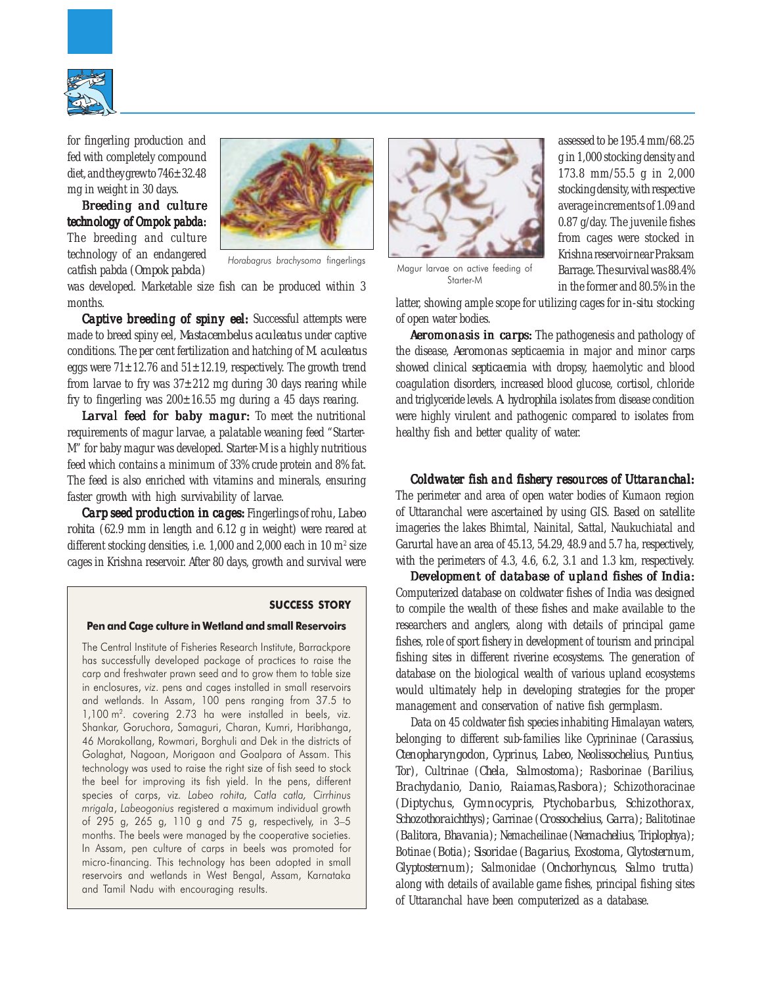

for fingerling production and fed with completely compound diet, and they grew to 746±32.48 mg in weight in 30 days.

*Breeding and culture culture technology of* Ompok pabda: The breeding and culture technology of an endangered catfish pabda (*Ompok pabda*)



was developed. Marketable size fish can be produced within 3 months.

*Captive breeding of spiny eel:* Successful attempts were made to breed spiny eel, *Mastacembelus aculeatus* under captive conditions. The per cent fertilization and hatching of *M. aculeatus* eggs were  $71\pm12.76$  and  $51\pm12.19$ , respectively. The growth trend from larvae to fry was  $37\pm212$  mg during 30 days rearing while fry to fingerling was  $200\pm16.55$  mg during a 45 days rearing.

*Larval feed for baby magur: magur:* To meet the nutritional requirements of magur larvae, a palatable weaning feed "Starter-M" for baby magur was developed. Starter-M is a highly nutritious feed which contains a minimum of 33% crude protein and 8% fat. The feed is also enriched with vitamins and minerals, ensuring faster growth with high survivability of larvae.

*Carp seed production in cages: Fingerlings of rohu, Labeo rohita* (62.9 mm in length and 6.12 g in weight) were reared at different stocking densities, i.e.  $1,000$  and  $2,000$  each in  $10 \text{ m}^2$  size cages in Krishna reservoir. After 80 days, growth and survival were

#### SUCCESS STORY

#### Pen and Cage culture in Wetland and small Reservoirs

The Central Institute of Fisheries Research Institute, Barrackpore has successfully developed package of practices to raise the carp and freshwater prawn seed and to grow them to table size in enclosures, viz. pens and cages installed in small reservoirs and wetlands. In Assam, 100 pens ranging from 37.5 to 1,100 m<sup>2</sup>. covering 2.73 ha were installed in beels, viz. Shankar, Goruchora, Samaguri, Charan, Kumri, Haribhanga, 46 Morakollang, Rowmari, Borghuli and Dek in the districts of Golaghat, Nagoan, Morigaon and Goalpara of Assam. This technology was used to raise the right size of fish seed to stock the beel for improving its fish yield. In the pens, different species of carps, viz. Labeo rohita, Catla catla, Cirrhinus mrigala, Labeogonius registered a maximum individual growth of 295 g, 265 g, 110 g and 75 g, respectively, in 3–5 months. The beels were managed by the cooperative societies. In Assam, pen culture of carps in beels was promoted for micro-financing. This technology has been adopted in small reservoirs and wetlands in West Bengal, Assam, Karnataka and Tamil Nadu with encouraging results.



Starter-M

assessed to be 195.4 mm/68.25 g in 1,000 stocking density and 173.8 mm/55.5 g in 2,000 stocking density, with respective average increments of 1.09 and 0.87 g/day. The juvenile fishes from cages were stocked in Krishna reservoir near Praksam Barrage. The survival was 88.4% in the former and 80.5% in the

latter, showing ample scope for utilizing cages for *in-situ* stocking of open water bodies.

**Aeromonasis in carps:** The pathogenesis and pathology of the disease, *Aeromonas* septicaemia in major and minor carps showed clinical *septicaemia* with dropsy, haemolytic and blood coagulation disorders, increased blood glucose, cortisol, chloride and triglyceride levels. *A. hydrophila* isolates from disease condition were highly virulent and pathogenic compared to isolates from healthy fish and better quality of water.

#### *Coldwater fish and fishery resources of Uttaranchal: fishery resources Uttaranchal:*

The perimeter and area of open water bodies of Kumaon region of Uttaranchal were ascertained by using GIS. Based on satellite imageries the lakes Bhimtal, Nainital, Sattal, Naukuchiatal and Garurtal have an area of 45.13, 54.29, 48.9 and 5.7 ha, respectively, with the perimeters of 4.3, 4.6, 6.2, 3.1 and 1.3 km, respectively.

*Development of database of upland fishes of India:* Computerized database on coldwater fishes of India was designed to compile the wealth of these fishes and make available to the researchers and anglers, along with details of principal game fishes, role of sport fishery in development of tourism and principal fishing sites in different riverine ecosystems. The generation of database on the biological wealth of various upland ecosystems would ultimately help in developing strategies for the proper management and conservation of native fish germplasm.

Data on 45 coldwater fish species inhabiting Himalayan waters, belonging to different sub-families like Cyprininae (*Carassius, Ctenopharyngodon, Cyprinus, Labeo, Neolissochelius, Puntius, Tor*), Cultrinae (*Chela, Salmostoma*); Rasborinae (*Barilius, Brachydanio*, *Danio, Raiamas,Rasbora*); Schizothoracinae (*Diptychus, Gymnocypris, Ptychobarbus, Schizothorax, Schozothoraichthys*)*;* Garrinae (*Crossochelius, Garra*)*;* Balitotinae (*Balitora, Bhavania*)*;* Nemacheilina*e* (*Nemachelius, Triplophya*)*;* Botinae (*Botia*)*; Sisoridae* (*Bagarius, Exostoma, Glytosternum, Glyptosternum*)*;* Salmonidae (*Onchorhyncus, Salmo trutta*) along with details of available game fishes, principal fishing sites of Uttaranchal have been computerized as a database.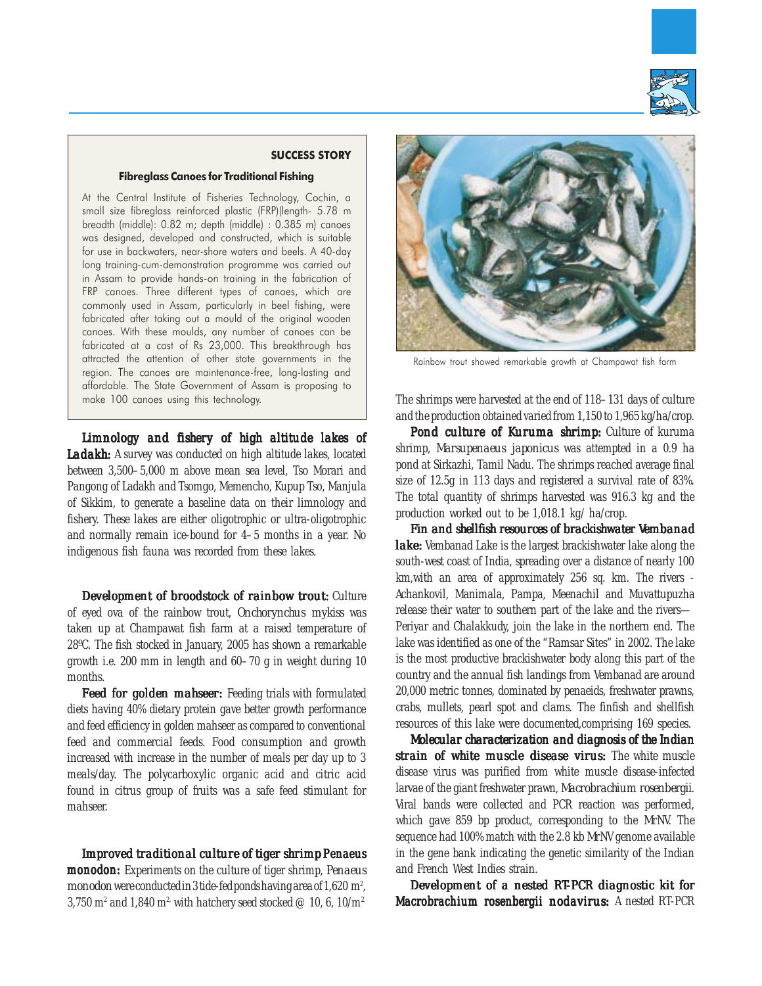

## SUCCESS STORY

#### Fibreglass Canoes for Traditional Fishing

At the Central Institute of Fisheries Technology, Cochin, a small size fibreglass reinforced plastic (FRP)(length- 5.78 m breadth (middle): 0.82 m; depth (middle) : 0.385 m) canoes was designed, developed and constructed, which is suitable for use in backwaters, near-shore waters and beels. A 40-day long training-cum-demonstration programme was carried out in Assam to provide hands-on training in the fabrication of FRP canoes. Three different types of canoes, which are commonly used in Assam, particularly in beel fishing, were fabricated after taking out a mould of the original wooden canoes. With these moulds, any number of canoes can be fabricated at a cost of Rs 23,000. This breakthrough has attracted the attention of other state governments in the region. The canoes are maintenance-free, long-lasting and affordable. The State Government of Assam is proposing to make 100 canoes using this technology.

*Limnology and fishery of high altitude lakes of Limnology and fishery of high of Ladakh:* A survey was conducted on high altitude lakes, located between 3,500–5,000 m above mean sea level, Tso Morari and Pangong of Ladakh and Tsomgo, Memencho, Kupup Tso, Manjula of Sikkim, to generate a baseline data on their limnology and fishery. These lakes are either oligotrophic or ultra-oligotrophic and normally remain ice-bound for 4–5 months in a year. No indigenous fish fauna was recorded from these lakes.

*Development of broodstock of rainbow trout: Culture* of eyed ova of the rainbow trout, *Onchorynchus mykiss* was taken up at Champawat fish farm at a raised temperature of 28ºC. The fish stocked in January, 2005 has shown a remarkable growth i.e. 200 mm in length and 60–70 g in weight during 10 months.

**Feed for golden mahseer:** Feeding trials with formulated diets having 40% dietary protein gave better growth performance and feed efficiency in golden mahseer as compared to conventional feed and commercial feeds. Food consumption and growth increased with increase in the number of meals per day up to 3 meals/day. The polycarboxylic organic acid and citric acid found in citrus group of fruits was a safe feed stimulant for mahseer.

Improved traditional culture of tiger shrimp Penaeus monodon: Experiments on the culture of tiger shrimp, *Penaeus monodon* were conducted in 3 tide-fed ponds having area of 1,620 m<sup>2</sup>, , 3,750 m<sup>2</sup> and 1,840 m<sup>2</sup> with hatchery seed stocked @ 10, 6, 10/m<sup>2.</sup>



Rainbow trout showed remarkable growth at Champawat fish farm

The shrimps were harvested at the end of 118–131 days of culture and the production obtained varied from 1,150 to 1,965 kg/ha/crop.

*Pond culture of Kuruma shrimp: Kuruma shrimp:* Culture of kuruma shrimp, *Marsupenaeus japonicus* was attempted in a 0.9 ha pond at Sirkazhi, Tamil Nadu. The shrimps reached average final size of 12.5g in 113 days and registered a survival rate of 83%. The total quantity of shrimps harvested was 916.3 kg and the production worked out to be 1,018.1 kg/ ha/crop.

*Fin and shellfish resources of brackishwater Vembanad lake:* Vembanad Lake is the largest brackishwater lake along the south-west coast of India, spreading over a distance of nearly 100 km,with an area of approximately 256 sq. km. The rivers - Achankovil, Manimala, Pampa, Meenachil and Muvattupuzha release their water to southern part of the lake and the rivers— Periyar and Chalakkudy, join the lake in the northern end. The lake was identified as one of the "Ramsar Sites" in 2002. The lake is the most productive brackishwater body along this part of the country and the annual fish landings from Vembanad are around 20,000 metric tonnes, dominated by penaeids, freshwater prawns, crabs, mullets, pearl spot and clams. The finfish and shellfish resources of this lake were documented,comprising 169 species.

*Molecular characterization and diagnosis of the Indian strain of white muscle disease virus:* The white muscle disease virus was purified from white muscle disease-infected larvae of the giant freshwater prawn, *Macrobrachium rosenbergii*. Viral bands were collected and PCR reaction was performed*,* which gave 859 bp product, corresponding to the *Mr*NV. The sequence had 100% match with the 2.8 kb *Mr*NV genome available in the gene bank indicating the genetic similarity of the Indian and French West Indies strain.

*Development of a nested RT-PCR diagnostic kit for* Macrobrachium rosenbergii *nodavirus:* A nested RT-PCR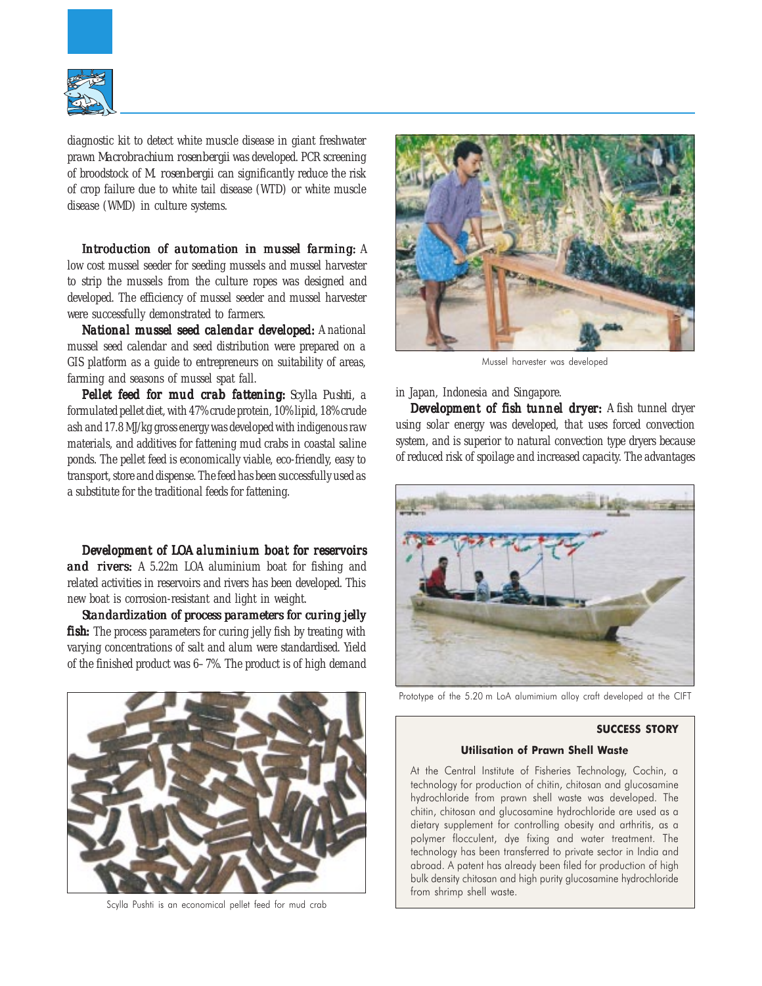

diagnostic kit to detect white muscle disease in giant freshwater prawn *Macrobrachium rosenbergii* was developed. PCR screening of broodstock of *M. rosenbergii* can significantly reduce the risk of crop failure due to white tail disease (WTD) or white muscle disease (WMD) in culture systems.

*Introduction of automation in mussel farming:* A low cost mussel seeder for seeding mussels and mussel harvester to strip the mussels from the culture ropes was designed and developed. The efficiency of mussel seeder and mussel harvester were successfully demonstrated to farmers.

*National mussel seed calendar developed: A national* mussel seed calendar and seed distribution were prepared on a GIS platform as a guide to entrepreneurs on suitability of areas, farming and seasons of mussel spat fall.

*Pellet feed for mud crab fattening: Scylla Pushti, a* formulated pellet diet, with 47% crude protein, 10% lipid, 18% crude ash and 17.8 MJ/kg gross energy was developed with indigenous raw materials, and additives for fattening mud crabs in coastal saline ponds. The pellet feed is economically viable, eco-friendly, easy to transport, store and dispense. The feed has been successfully used as a substitute for the traditional feeds for fattening.

*Development of LOA aluminium boat for reservoirs of LOA aluminium boat and rivers:* A 5.22m LOA aluminium boat for fishing and related activities in reservoirs and rivers has been developed. This new boat is corrosion-resistant and light in weight.

*Standar Standardization of process parameters for curing jelly fish:* The process parameters for curing jelly fish by treating with varying concentrations of salt and alum were standardised. Yield of the finished product was 6–7%. The product is of high demand



Scylla Pushti is an economical pellet feed for mud crab



Mussel harvester was developed

in Japan, Indonesia and Singapore.

*Development of fish tunnel dryer: Development of fish tunnel dryer:* A fish tunnel dryer using solar energy was developed, that uses forced convection system, and is superior to natural convection type dryers because of reduced risk of spoilage and increased capacity. The advantages



Prototype of the 5.20 m LoA alumimium alloy craft developed at the CIFT

#### SUCCESS STORY

## Utilisation of Prawn Shell Waste

At the Central Institute of Fisheries Technology, Cochin, a technology for production of chitin, chitosan and glucosamine hydrochloride from prawn shell waste was developed. The chitin, chitosan and glucosamine hydrochloride are used as a dietary supplement for controlling obesity and arthritis, as a polymer flocculent, dye fixing and water treatment. The technology has been transferred to private sector in India and abroad. A patent has already been filed for production of high bulk density chitosan and high purity glucosamine hydrochloride from shrimp shell waste.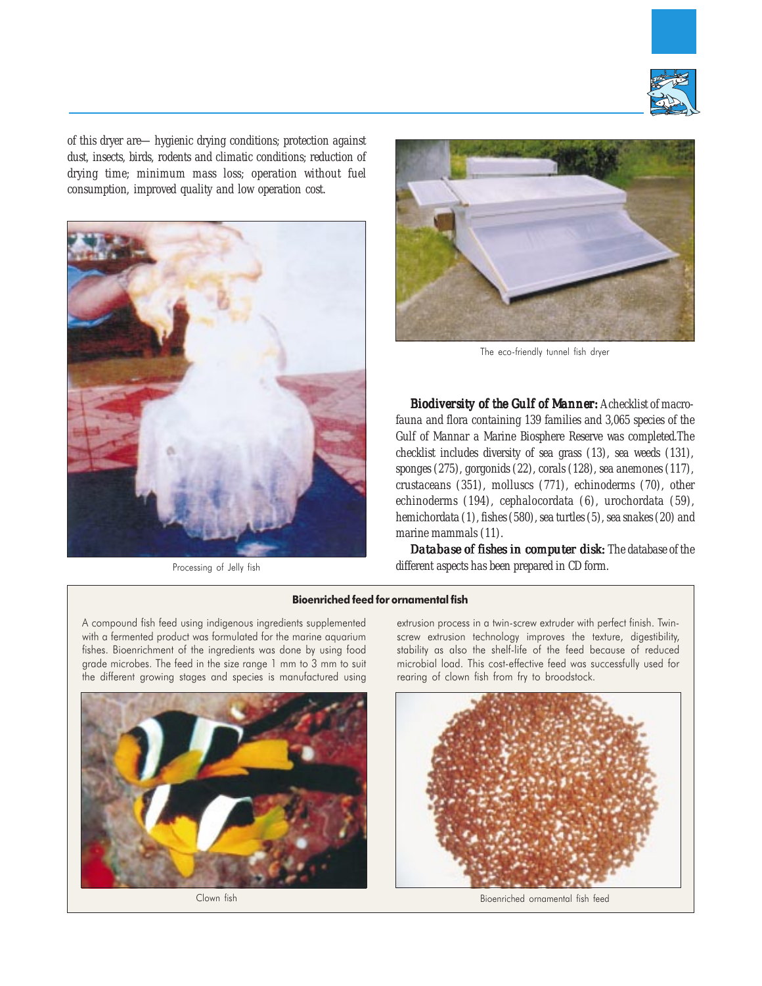

of this dryer are—hygienic drying conditions; protection against dust, insects, birds, rodents and climatic conditions; reduction of drying time; minimum mass loss; operation without fuel consumption, improved quality and low operation cost.



Processing of Jelly fish



The eco-friendly tunnel fish dryer

**Biodiversity of the Gulf of Manner:** A checklist of macrofauna and flora containing 139 families and 3,065 species of the Gulf of Mannar a Marine Biosphere Reserve was completed.The checklist includes diversity of sea grass (13), sea weeds (131), sponges (275), gorgonids (22), corals (128), sea anemones (117), crustaceans (351), molluscs (771), echinoderms (70), other echinoderms (194), cephalocordata (6), urochordata (59), hemichordata (1), fishes (580), sea turtles (5), sea snakes (20) and marine mammals (11).

*Database of fishes in computer disk:* The database of the different aspects has been prepared in CD form.

#### Bioenriched feed for ornamental fish

A compound fish feed using indigenous ingredients supplemented with a fermented product was formulated for the marine aquarium fishes. Bioenrichment of the ingredients was done by using food grade microbes. The feed in the size range 1 mm to 3 mm to suit the different growing stages and species is manufactured using



extrusion process in a twin-screw extruder with perfect finish. Twinscrew extrusion technology improves the texture, digestibility, stability as also the shelf-life of the feed because of reduced microbial load. This cost-effective feed was successfully used for rearing of clown fish from fry to broodstock.



Clown fish Bioenriched ornamental fish feed